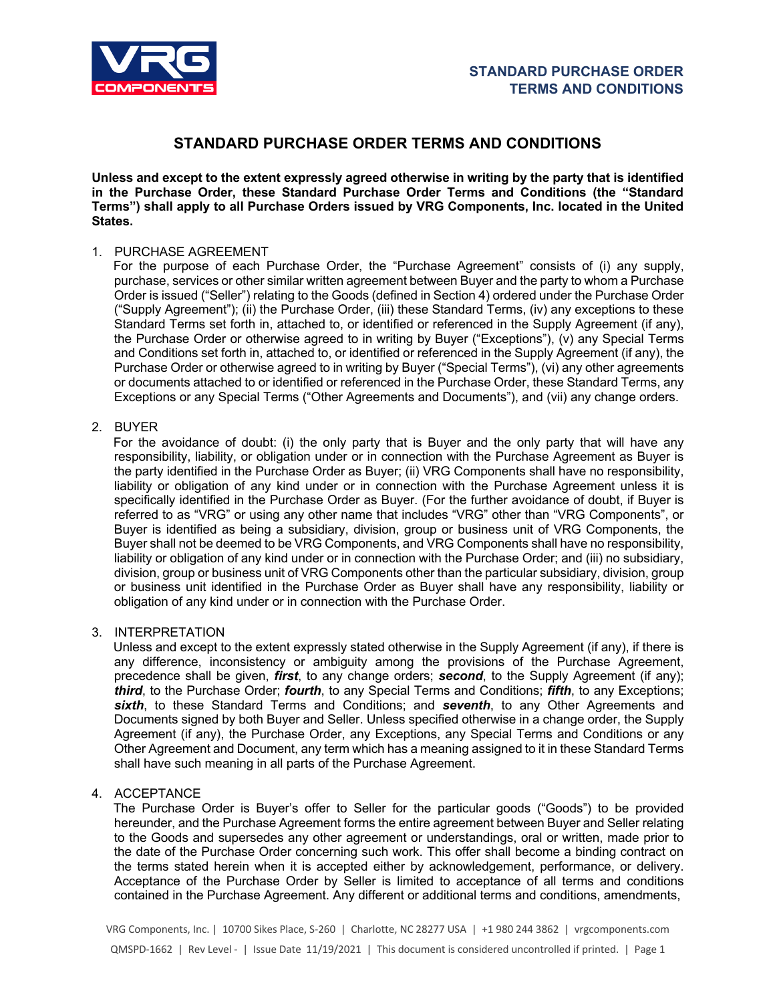

**Unless and except to the extent expressly agreed otherwise in writing by the party that is identified in the Purchase Order, these Standard Purchase Order Terms and Conditions (the "Standard Terms") shall apply to all Purchase Orders issued by VRG Components, Inc. located in the United States.** 

### 1. PURCHASE AGREEMENT

For the purpose of each Purchase Order, the "Purchase Agreement" consists of (i) any supply, purchase, services or other similar written agreement between Buyer and the party to whom a Purchase Order is issued ("Seller") relating to the Goods (defined in Section 4) ordered under the Purchase Order ("Supply Agreement"); (ii) the Purchase Order, (iii) these Standard Terms, (iv) any exceptions to these Standard Terms set forth in, attached to, or identified or referenced in the Supply Agreement (if any), the Purchase Order or otherwise agreed to in writing by Buyer ("Exceptions"), (v) any Special Terms and Conditions set forth in, attached to, or identified or referenced in the Supply Agreement (if any), the Purchase Order or otherwise agreed to in writing by Buyer ("Special Terms"), (vi) any other agreements or documents attached to or identified or referenced in the Purchase Order, these Standard Terms, any Exceptions or any Special Terms ("Other Agreements and Documents"), and (vii) any change orders.

## 2. BUYER

For the avoidance of doubt: (i) the only party that is Buyer and the only party that will have any responsibility, liability, or obligation under or in connection with the Purchase Agreement as Buyer is the party identified in the Purchase Order as Buyer; (ii) VRG Components shall have no responsibility, liability or obligation of any kind under or in connection with the Purchase Agreement unless it is specifically identified in the Purchase Order as Buyer. (For the further avoidance of doubt, if Buyer is referred to as "VRG" or using any other name that includes "VRG" other than "VRG Components", or Buyer is identified as being a subsidiary, division, group or business unit of VRG Components, the Buyer shall not be deemed to be VRG Components, and VRG Components shall have no responsibility, liability or obligation of any kind under or in connection with the Purchase Order; and (iii) no subsidiary, division, group or business unit of VRG Components other than the particular subsidiary, division, group or business unit identified in the Purchase Order as Buyer shall have any responsibility, liability or obligation of any kind under or in connection with the Purchase Order.

### 3. INTERPRETATION

Unless and except to the extent expressly stated otherwise in the Supply Agreement (if any), if there is any difference, inconsistency or ambiguity among the provisions of the Purchase Agreement, precedence shall be given, *first*, to any change orders; *second*, to the Supply Agreement (if any); *third*, to the Purchase Order; *fourth*, to any Special Terms and Conditions; *fifth*, to any Exceptions; *sixth*, to these Standard Terms and Conditions; and *seventh*, to any Other Agreements and Documents signed by both Buyer and Seller. Unless specified otherwise in a change order, the Supply Agreement (if any), the Purchase Order, any Exceptions, any Special Terms and Conditions or any Other Agreement and Document, any term which has a meaning assigned to it in these Standard Terms shall have such meaning in all parts of the Purchase Agreement.

## 4. ACCEPTANCE

The Purchase Order is Buyer's offer to Seller for the particular goods ("Goods") to be provided hereunder, and the Purchase Agreement forms the entire agreement between Buyer and Seller relating to the Goods and supersedes any other agreement or understandings, oral or written, made prior to the date of the Purchase Order concerning such work. This offer shall become a binding contract on the terms stated herein when it is accepted either by acknowledgement, performance, or delivery. Acceptance of the Purchase Order by Seller is limited to acceptance of all terms and conditions contained in the Purchase Agreement. Any different or additional terms and conditions, amendments,

VRG Components, Inc. | 10700 Sikes Place, S-260 | Charlotte, NC 28277 USA | +1 980 244 3862 | vrgcomponents.com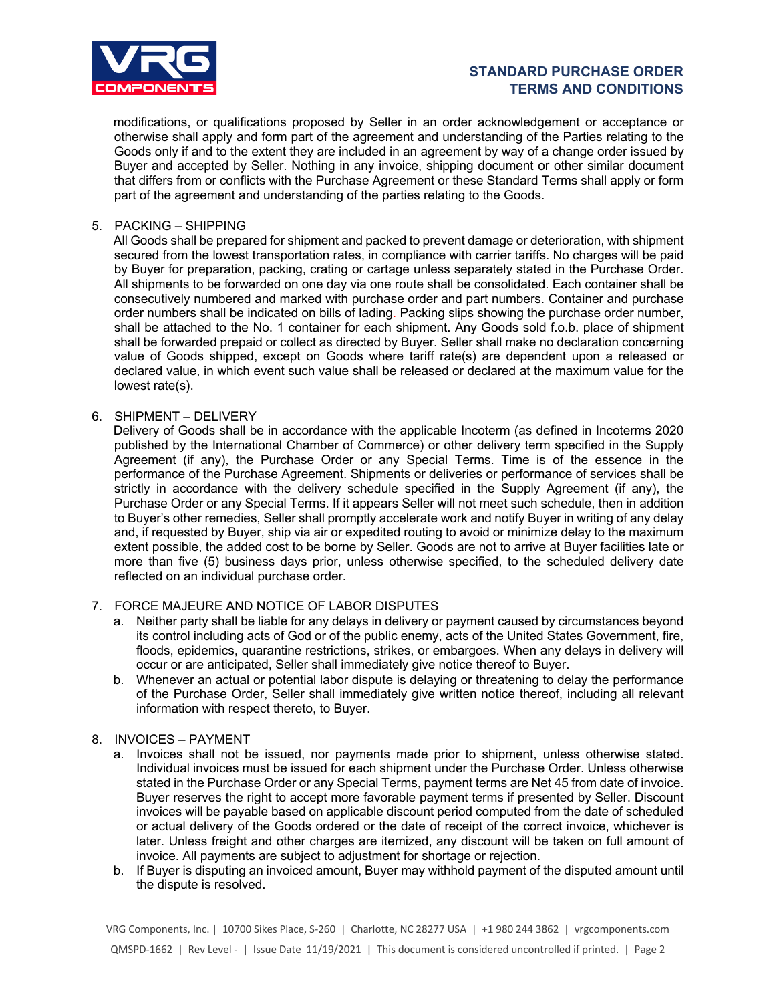

modifications, or qualifications proposed by Seller in an order acknowledgement or acceptance or otherwise shall apply and form part of the agreement and understanding of the Parties relating to the Goods only if and to the extent they are included in an agreement by way of a change order issued by Buyer and accepted by Seller. Nothing in any invoice, shipping document or other similar document that differs from or conflicts with the Purchase Agreement or these Standard Terms shall apply or form part of the agreement and understanding of the parties relating to the Goods.

### 5. PACKING – SHIPPING

All Goods shall be prepared for shipment and packed to prevent damage or deterioration, with shipment secured from the lowest transportation rates, in compliance with carrier tariffs. No charges will be paid by Buyer for preparation, packing, crating or cartage unless separately stated in the Purchase Order. All shipments to be forwarded on one day via one route shall be consolidated. Each container shall be consecutively numbered and marked with purchase order and part numbers. Container and purchase order numbers shall be indicated on bills of lading. Packing slips showing the purchase order number, shall be attached to the No. 1 container for each shipment. Any Goods sold f.o.b. place of shipment shall be forwarded prepaid or collect as directed by Buyer. Seller shall make no declaration concerning value of Goods shipped, except on Goods where tariff rate(s) are dependent upon a released or declared value, in which event such value shall be released or declared at the maximum value for the lowest rate(s).

## 6. SHIPMENT – DELIVERY

Delivery of Goods shall be in accordance with the applicable Incoterm (as defined in Incoterms 2020 published by the International Chamber of Commerce) or other delivery term specified in the Supply Agreement (if any), the Purchase Order or any Special Terms. Time is of the essence in the performance of the Purchase Agreement. Shipments or deliveries or performance of services shall be strictly in accordance with the delivery schedule specified in the Supply Agreement (if any), the Purchase Order or any Special Terms. If it appears Seller will not meet such schedule, then in addition to Buyer's other remedies, Seller shall promptly accelerate work and notify Buyer in writing of any delay and, if requested by Buyer, ship via air or expedited routing to avoid or minimize delay to the maximum extent possible, the added cost to be borne by Seller. Goods are not to arrive at Buyer facilities late or more than five (5) business days prior, unless otherwise specified, to the scheduled delivery date reflected on an individual purchase order.

## 7. FORCE MAJEURE AND NOTICE OF LABOR DISPUTES

- a. Neither party shall be liable for any delays in delivery or payment caused by circumstances beyond its control including acts of God or of the public enemy, acts of the United States Government, fire, floods, epidemics, quarantine restrictions, strikes, or embargoes. When any delays in delivery will occur or are anticipated, Seller shall immediately give notice thereof to Buyer.
- b. Whenever an actual or potential labor dispute is delaying or threatening to delay the performance of the Purchase Order, Seller shall immediately give written notice thereof, including all relevant information with respect thereto, to Buyer.

### 8. INVOICES – PAYMENT

- a. Invoices shall not be issued, nor payments made prior to shipment, unless otherwise stated. Individual invoices must be issued for each shipment under the Purchase Order. Unless otherwise stated in the Purchase Order or any Special Terms, payment terms are Net 45 from date of invoice. Buyer reserves the right to accept more favorable payment terms if presented by Seller. Discount invoices will be payable based on applicable discount period computed from the date of scheduled or actual delivery of the Goods ordered or the date of receipt of the correct invoice, whichever is later. Unless freight and other charges are itemized, any discount will be taken on full amount of invoice. All payments are subject to adjustment for shortage or rejection.
- b. If Buyer is disputing an invoiced amount, Buyer may withhold payment of the disputed amount until the dispute is resolved.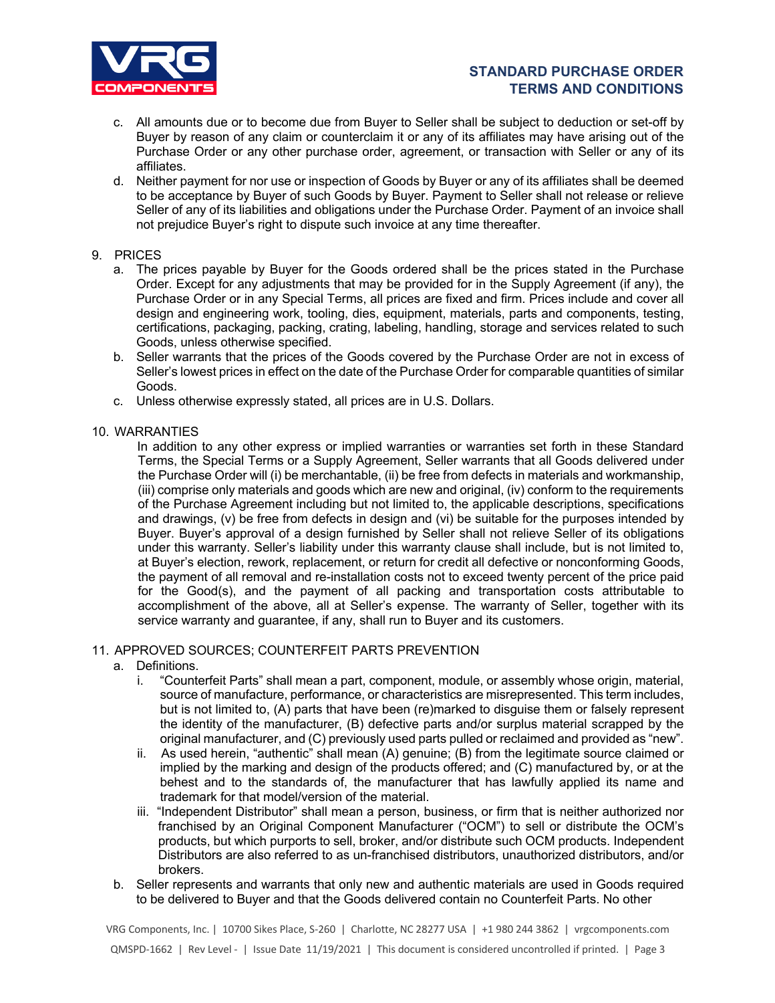

- c. All amounts due or to become due from Buyer to Seller shall be subject to deduction or set-off by Buyer by reason of any claim or counterclaim it or any of its affiliates may have arising out of the Purchase Order or any other purchase order, agreement, or transaction with Seller or any of its affiliates.
- d. Neither payment for nor use or inspection of Goods by Buyer or any of its affiliates shall be deemed to be acceptance by Buyer of such Goods by Buyer. Payment to Seller shall not release or relieve Seller of any of its liabilities and obligations under the Purchase Order. Payment of an invoice shall not prejudice Buyer's right to dispute such invoice at any time thereafter.

## 9. PRICES

- a. The prices payable by Buyer for the Goods ordered shall be the prices stated in the Purchase Order. Except for any adjustments that may be provided for in the Supply Agreement (if any), the Purchase Order or in any Special Terms, all prices are fixed and firm. Prices include and cover all design and engineering work, tooling, dies, equipment, materials, parts and components, testing, certifications, packaging, packing, crating, labeling, handling, storage and services related to such Goods, unless otherwise specified.
- b. Seller warrants that the prices of the Goods covered by the Purchase Order are not in excess of Seller's lowest prices in effect on the date of the Purchase Order for comparable quantities of similar Goods.
- c. Unless otherwise expressly stated, all prices are in U.S. Dollars.

## 10. WARRANTIES

In addition to any other express or implied warranties or warranties set forth in these Standard Terms, the Special Terms or a Supply Agreement, Seller warrants that all Goods delivered under the Purchase Order will (i) be merchantable, (ii) be free from defects in materials and workmanship, (iii) comprise only materials and goods which are new and original, (iv) conform to the requirements of the Purchase Agreement including but not limited to, the applicable descriptions, specifications and drawings, (v) be free from defects in design and (vi) be suitable for the purposes intended by Buyer. Buyer's approval of a design furnished by Seller shall not relieve Seller of its obligations under this warranty. Seller's liability under this warranty clause shall include, but is not limited to, at Buyer's election, rework, replacement, or return for credit all defective or nonconforming Goods, the payment of all removal and re-installation costs not to exceed twenty percent of the price paid for the Good(s), and the payment of all packing and transportation costs attributable to accomplishment of the above, all at Seller's expense. The warranty of Seller, together with its service warranty and guarantee, if any, shall run to Buyer and its customers.

## 11. APPROVED SOURCES; COUNTERFEIT PARTS PREVENTION

- a. Definitions.
	- i. "Counterfeit Parts" shall mean a part, component, module, or assembly whose origin, material, source of manufacture, performance, or characteristics are misrepresented. This term includes, but is not limited to, (A) parts that have been (re)marked to disguise them or falsely represent the identity of the manufacturer, (B) defective parts and/or surplus material scrapped by the original manufacturer, and (C) previously used parts pulled or reclaimed and provided as "new".
	- ii. As used herein, "authentic" shall mean (A) genuine; (B) from the legitimate source claimed or implied by the marking and design of the products offered; and (C) manufactured by, or at the behest and to the standards of, the manufacturer that has lawfully applied its name and trademark for that model/version of the material.
	- iii. "Independent Distributor" shall mean a person, business, or firm that is neither authorized nor franchised by an Original Component Manufacturer ("OCM") to sell or distribute the OCM's products, but which purports to sell, broker, and/or distribute such OCM products. Independent Distributors are also referred to as un-franchised distributors, unauthorized distributors, and/or brokers.
- b. Seller represents and warrants that only new and authentic materials are used in Goods required to be delivered to Buyer and that the Goods delivered contain no Counterfeit Parts. No other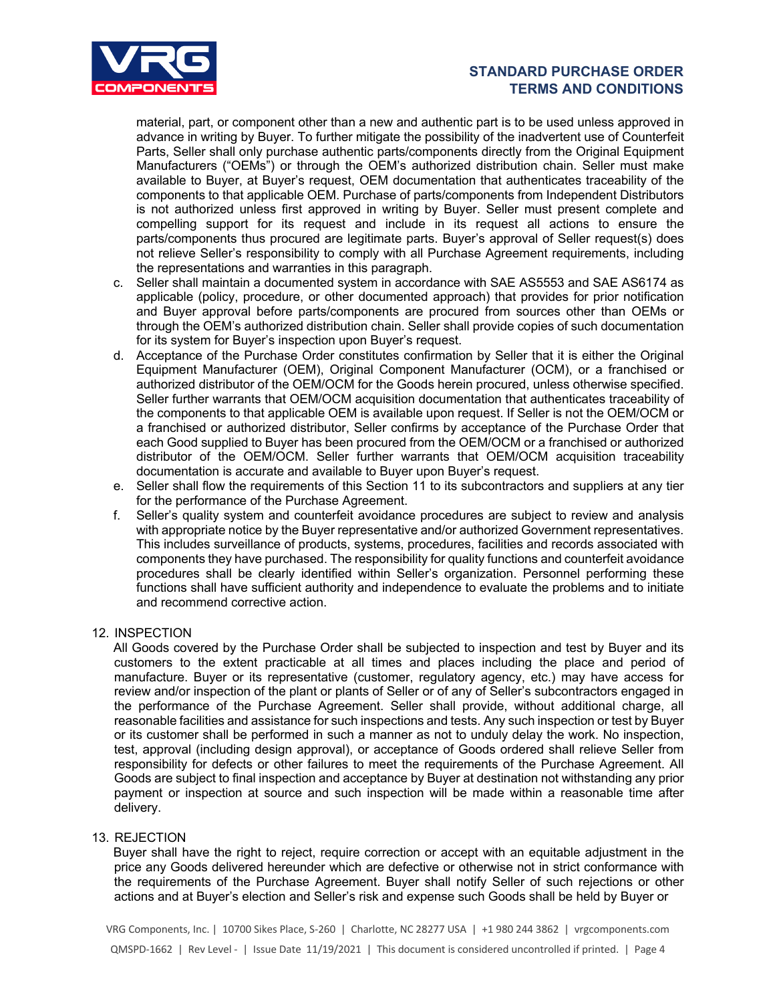

material, part, or component other than a new and authentic part is to be used unless approved in advance in writing by Buyer. To further mitigate the possibility of the inadvertent use of Counterfeit Parts, Seller shall only purchase authentic parts/components directly from the Original Equipment Manufacturers ("OEMs") or through the OEM's authorized distribution chain. Seller must make available to Buyer, at Buyer's request, OEM documentation that authenticates traceability of the components to that applicable OEM. Purchase of parts/components from Independent Distributors is not authorized unless first approved in writing by Buyer. Seller must present complete and compelling support for its request and include in its request all actions to ensure the parts/components thus procured are legitimate parts. Buyer's approval of Seller request(s) does not relieve Seller's responsibility to comply with all Purchase Agreement requirements, including the representations and warranties in this paragraph.

- c. Seller shall maintain a documented system in accordance with SAE AS5553 and SAE AS6174 as applicable (policy, procedure, or other documented approach) that provides for prior notification and Buyer approval before parts/components are procured from sources other than OEMs or through the OEM's authorized distribution chain. Seller shall provide copies of such documentation for its system for Buyer's inspection upon Buyer's request.
- d. Acceptance of the Purchase Order constitutes confirmation by Seller that it is either the Original Equipment Manufacturer (OEM), Original Component Manufacturer (OCM), or a franchised or authorized distributor of the OEM/OCM for the Goods herein procured, unless otherwise specified. Seller further warrants that OEM/OCM acquisition documentation that authenticates traceability of the components to that applicable OEM is available upon request. If Seller is not the OEM/OCM or a franchised or authorized distributor, Seller confirms by acceptance of the Purchase Order that each Good supplied to Buyer has been procured from the OEM/OCM or a franchised or authorized distributor of the OEM/OCM. Seller further warrants that OEM/OCM acquisition traceability documentation is accurate and available to Buyer upon Buyer's request.
- e. Seller shall flow the requirements of this Section 11 to its subcontractors and suppliers at any tier for the performance of the Purchase Agreement.
- f. Seller's quality system and counterfeit avoidance procedures are subject to review and analysis with appropriate notice by the Buyer representative and/or authorized Government representatives. This includes surveillance of products, systems, procedures, facilities and records associated with components they have purchased. The responsibility for quality functions and counterfeit avoidance procedures shall be clearly identified within Seller's organization. Personnel performing these functions shall have sufficient authority and independence to evaluate the problems and to initiate and recommend corrective action.

### 12. INSPECTION

All Goods covered by the Purchase Order shall be subjected to inspection and test by Buyer and its customers to the extent practicable at all times and places including the place and period of manufacture. Buyer or its representative (customer, regulatory agency, etc.) may have access for review and/or inspection of the plant or plants of Seller or of any of Seller's subcontractors engaged in the performance of the Purchase Agreement. Seller shall provide, without additional charge, all reasonable facilities and assistance for such inspections and tests. Any such inspection or test by Buyer or its customer shall be performed in such a manner as not to unduly delay the work. No inspection, test, approval (including design approval), or acceptance of Goods ordered shall relieve Seller from responsibility for defects or other failures to meet the requirements of the Purchase Agreement. All Goods are subject to final inspection and acceptance by Buyer at destination not withstanding any prior payment or inspection at source and such inspection will be made within a reasonable time after delivery.

### 13. REJECTION

Buyer shall have the right to reject, require correction or accept with an equitable adjustment in the price any Goods delivered hereunder which are defective or otherwise not in strict conformance with the requirements of the Purchase Agreement. Buyer shall notify Seller of such rejections or other actions and at Buyer's election and Seller's risk and expense such Goods shall be held by Buyer or

VRG Components, Inc. | 10700 Sikes Place, S-260 | Charlotte, NC 28277 USA | +1 980 244 3862 | vrgcomponents.com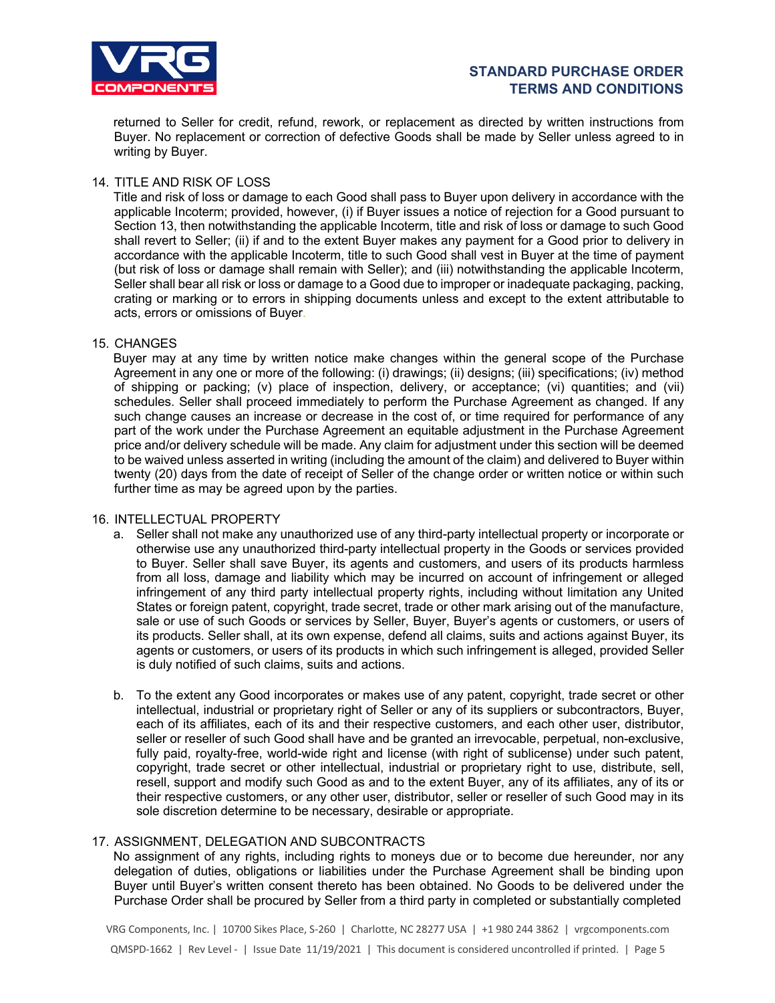

returned to Seller for credit, refund, rework, or replacement as directed by written instructions from Buyer. No replacement or correction of defective Goods shall be made by Seller unless agreed to in writing by Buyer.

## 14. TITLE AND RISK OF LOSS

Title and risk of loss or damage to each Good shall pass to Buyer upon delivery in accordance with the applicable Incoterm; provided, however, (i) if Buyer issues a notice of rejection for a Good pursuant to Section 13, then notwithstanding the applicable Incoterm, title and risk of loss or damage to such Good shall revert to Seller; (ii) if and to the extent Buyer makes any payment for a Good prior to delivery in accordance with the applicable Incoterm, title to such Good shall vest in Buyer at the time of payment (but risk of loss or damage shall remain with Seller); and (iii) notwithstanding the applicable Incoterm, Seller shall bear all risk or loss or damage to a Good due to improper or inadequate packaging, packing, crating or marking or to errors in shipping documents unless and except to the extent attributable to acts, errors or omissions of Buyer.

### 15. CHANGES

Buyer may at any time by written notice make changes within the general scope of the Purchase Agreement in any one or more of the following: (i) drawings; (ii) designs; (iii) specifications; (iv) method of shipping or packing; (v) place of inspection, delivery, or acceptance; (vi) quantities; and (vii) schedules. Seller shall proceed immediately to perform the Purchase Agreement as changed. If any such change causes an increase or decrease in the cost of, or time required for performance of any part of the work under the Purchase Agreement an equitable adjustment in the Purchase Agreement price and/or delivery schedule will be made. Any claim for adjustment under this section will be deemed to be waived unless asserted in writing (including the amount of the claim) and delivered to Buyer within twenty (20) days from the date of receipt of Seller of the change order or written notice or within such further time as may be agreed upon by the parties.

### 16. INTELLECTUAL PROPERTY

- a. Seller shall not make any unauthorized use of any third-party intellectual property or incorporate or otherwise use any unauthorized third-party intellectual property in the Goods or services provided to Buyer. Seller shall save Buyer, its agents and customers, and users of its products harmless from all loss, damage and liability which may be incurred on account of infringement or alleged infringement of any third party intellectual property rights, including without limitation any United States or foreign patent, copyright, trade secret, trade or other mark arising out of the manufacture, sale or use of such Goods or services by Seller, Buyer, Buyer's agents or customers, or users of its products. Seller shall, at its own expense, defend all claims, suits and actions against Buyer, its agents or customers, or users of its products in which such infringement is alleged, provided Seller is duly notified of such claims, suits and actions.
- b. To the extent any Good incorporates or makes use of any patent, copyright, trade secret or other intellectual, industrial or proprietary right of Seller or any of its suppliers or subcontractors, Buyer, each of its affiliates, each of its and their respective customers, and each other user, distributor, seller or reseller of such Good shall have and be granted an irrevocable, perpetual, non-exclusive, fully paid, royalty-free, world-wide right and license (with right of sublicense) under such patent, copyright, trade secret or other intellectual, industrial or proprietary right to use, distribute, sell, resell, support and modify such Good as and to the extent Buyer, any of its affiliates, any of its or their respective customers, or any other user, distributor, seller or reseller of such Good may in its sole discretion determine to be necessary, desirable or appropriate.

### 17. ASSIGNMENT, DELEGATION AND SUBCONTRACTS

No assignment of any rights, including rights to moneys due or to become due hereunder, nor any delegation of duties, obligations or liabilities under the Purchase Agreement shall be binding upon Buyer until Buyer's written consent thereto has been obtained. No Goods to be delivered under the Purchase Order shall be procured by Seller from a third party in completed or substantially completed

VRG Components, Inc. | 10700 Sikes Place, S-260 | Charlotte, NC 28277 USA | +1 980 244 3862 | vrgcomponents.com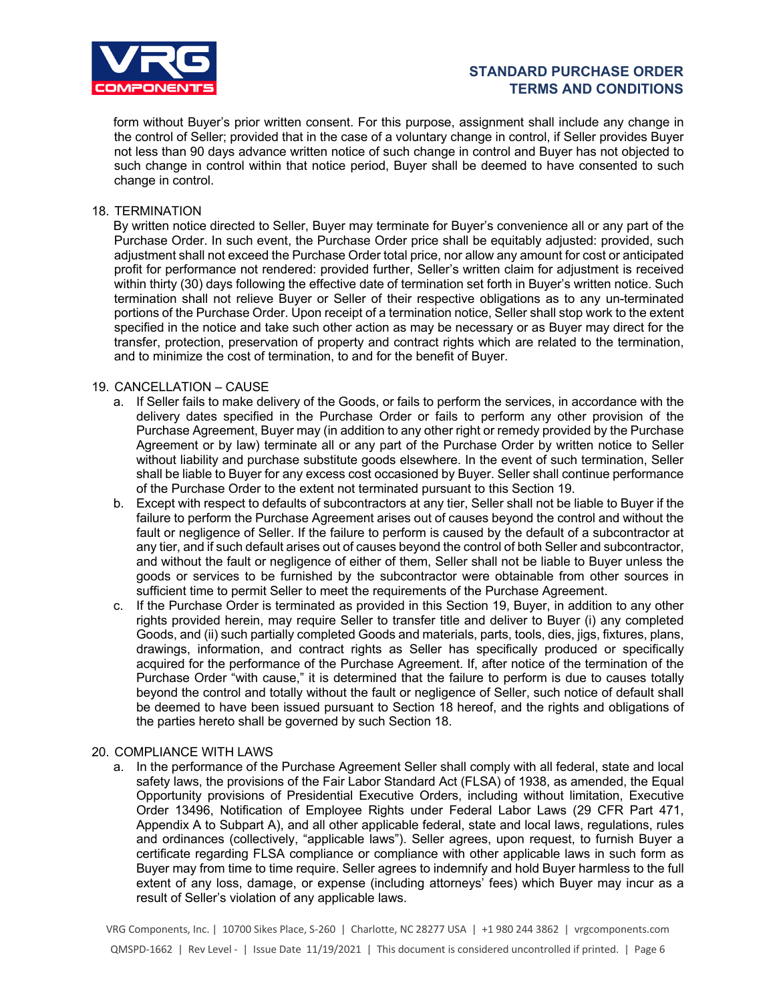

form without Buyer's prior written consent. For this purpose, assignment shall include any change in the control of Seller; provided that in the case of a voluntary change in control, if Seller provides Buyer not less than 90 days advance written notice of such change in control and Buyer has not objected to such change in control within that notice period, Buyer shall be deemed to have consented to such change in control.

### 18. TERMINATION

By written notice directed to Seller, Buyer may terminate for Buyer's convenience all or any part of the Purchase Order. In such event, the Purchase Order price shall be equitably adjusted: provided, such adjustment shall not exceed the Purchase Order total price, nor allow any amount for cost or anticipated profit for performance not rendered: provided further, Seller's written claim for adjustment is received within thirty (30) days following the effective date of termination set forth in Buyer's written notice. Such termination shall not relieve Buyer or Seller of their respective obligations as to any un-terminated portions of the Purchase Order. Upon receipt of a termination notice, Seller shall stop work to the extent specified in the notice and take such other action as may be necessary or as Buyer may direct for the transfer, protection, preservation of property and contract rights which are related to the termination, and to minimize the cost of termination, to and for the benefit of Buyer.

## 19. CANCELLATION – CAUSE

- a. If Seller fails to make delivery of the Goods, or fails to perform the services, in accordance with the delivery dates specified in the Purchase Order or fails to perform any other provision of the Purchase Agreement, Buyer may (in addition to any other right or remedy provided by the Purchase Agreement or by law) terminate all or any part of the Purchase Order by written notice to Seller without liability and purchase substitute goods elsewhere. In the event of such termination, Seller shall be liable to Buyer for any excess cost occasioned by Buyer. Seller shall continue performance of the Purchase Order to the extent not terminated pursuant to this Section 19.
- b. Except with respect to defaults of subcontractors at any tier, Seller shall not be liable to Buyer if the failure to perform the Purchase Agreement arises out of causes beyond the control and without the fault or negligence of Seller. If the failure to perform is caused by the default of a subcontractor at any tier, and if such default arises out of causes beyond the control of both Seller and subcontractor, and without the fault or negligence of either of them, Seller shall not be liable to Buyer unless the goods or services to be furnished by the subcontractor were obtainable from other sources in sufficient time to permit Seller to meet the requirements of the Purchase Agreement.
- c. If the Purchase Order is terminated as provided in this Section 19, Buyer, in addition to any other rights provided herein, may require Seller to transfer title and deliver to Buyer (i) any completed Goods, and (ii) such partially completed Goods and materials, parts, tools, dies, jigs, fixtures, plans, drawings, information, and contract rights as Seller has specifically produced or specifically acquired for the performance of the Purchase Agreement. If, after notice of the termination of the Purchase Order "with cause," it is determined that the failure to perform is due to causes totally beyond the control and totally without the fault or negligence of Seller, such notice of default shall be deemed to have been issued pursuant to Section 18 hereof, and the rights and obligations of the parties hereto shall be governed by such Section 18.

### 20. COMPLIANCE WITH LAWS

a. In the performance of the Purchase Agreement Seller shall comply with all federal, state and local safety laws, the provisions of the Fair Labor Standard Act (FLSA) of 1938, as amended, the Equal Opportunity provisions of Presidential Executive Orders, including without limitation, Executive Order 13496, Notification of Employee Rights under Federal Labor Laws (29 CFR Part 471, Appendix A to Subpart A), and all other applicable federal, state and local laws, regulations, rules and ordinances (collectively, "applicable laws"). Seller agrees, upon request, to furnish Buyer a certificate regarding FLSA compliance or compliance with other applicable laws in such form as Buyer may from time to time require. Seller agrees to indemnify and hold Buyer harmless to the full extent of any loss, damage, or expense (including attorneys' fees) which Buyer may incur as a result of Seller's violation of any applicable laws.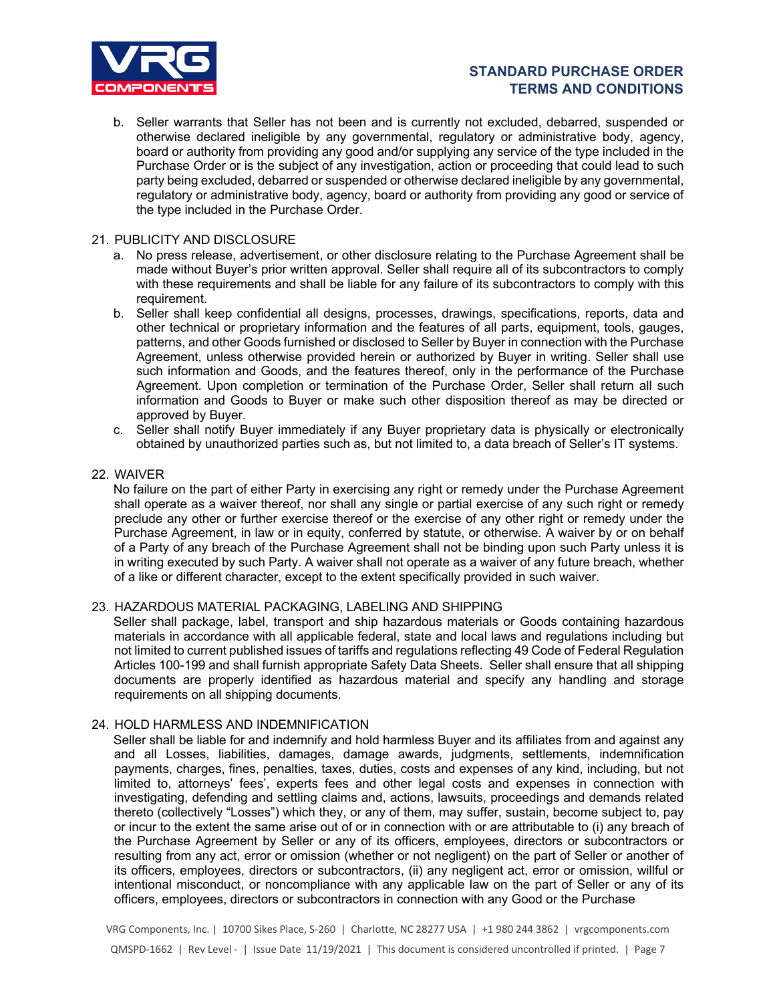

b. Seller warrants that Seller has not been and is currently not excluded, debarred, suspended or otherwise declared ineligible by any governmental, regulatory or administrative body, agency, board or authority from providing any good and/or supplying any service of the type included in the Purchase Order or is the subject of any investigation, action or proceeding that could lead to such party being excluded, debarred or suspended or otherwise declared ineligible by any governmental, regulatory or administrative body, agency, board or authority from providing any good or service of the type included in the Purchase Order.

### 21. PUBLICITY AND DISCLOSURE

- a. No press release, advertisement, or other disclosure relating to the Purchase Agreement shall be made without Buyer's prior written approval. Seller shall require all of its subcontractors to comply with these requirements and shall be liable for any failure of its subcontractors to comply with this requirement.
- b. Seller shall keep confidential all designs, processes, drawings, specifications, reports, data and other technical or proprietary information and the features of all parts, equipment, tools, gauges, patterns, and other Goods furnished or disclosed to Seller by Buyer in connection with the Purchase Agreement, unless otherwise provided herein or authorized by Buyer in writing. Seller shall use such information and Goods, and the features thereof, only in the performance of the Purchase Agreement. Upon completion or termination of the Purchase Order, Seller shall return all such information and Goods to Buyer or make such other disposition thereof as may be directed or approved by Buyer.
- c. Seller shall notify Buyer immediately if any Buyer proprietary data is physically or electronically obtained by unauthorized parties such as, but not limited to, a data breach of Seller's IT systems.

### 22. WAIVER

No failure on the part of either Party in exercising any right or remedy under the Purchase Agreement shall operate as a waiver thereof, nor shall any single or partial exercise of any such right or remedy preclude any other or further exercise thereof or the exercise of any other right or remedy under the Purchase Agreement, in law or in equity, conferred by statute, or otherwise. A waiver by or on behalf of a Party of any breach of the Purchase Agreement shall not be binding upon such Party unless it is in writing executed by such Party. A waiver shall not operate as a waiver of any future breach, whether of a like or different character, except to the extent specifically provided in such waiver.

### 23. HAZARDOUS MATERIAL PACKAGING, LABELING AND SHIPPING

Seller shall package, label, transport and ship hazardous materials or Goods containing hazardous materials in accordance with all applicable federal, state and local laws and regulations including but not limited to current published issues of tariffs and regulations reflecting 49 Code of Federal Regulation Articles 100-199 and shall furnish appropriate Safety Data Sheets. Seller shall ensure that all shipping documents are properly identified as hazardous material and specify any handling and storage requirements on all shipping documents.

## 24. HOLD HARMLESS AND INDEMNIFICATION

Seller shall be liable for and indemnify and hold harmless Buyer and its affiliates from and against any and all Losses, liabilities, damages, damage awards, judgments, settlements, indemnification payments, charges, fines, penalties, taxes, duties, costs and expenses of any kind, including, but not limited to, attorneys' fees', experts fees and other legal costs and expenses in connection with investigating, defending and settling claims and, actions, lawsuits, proceedings and demands related thereto (collectively "Losses") which they, or any of them, may suffer, sustain, become subject to, pay or incur to the extent the same arise out of or in connection with or are attributable to (i) any breach of the Purchase Agreement by Seller or any of its officers, employees, directors or subcontractors or resulting from any act, error or omission (whether or not negligent) on the part of Seller or another of its officers, employees, directors or subcontractors, (ii) any negligent act, error or omission, willful or intentional misconduct, or noncompliance with any applicable law on the part of Seller or any of its officers, employees, directors or subcontractors in connection with any Good or the Purchase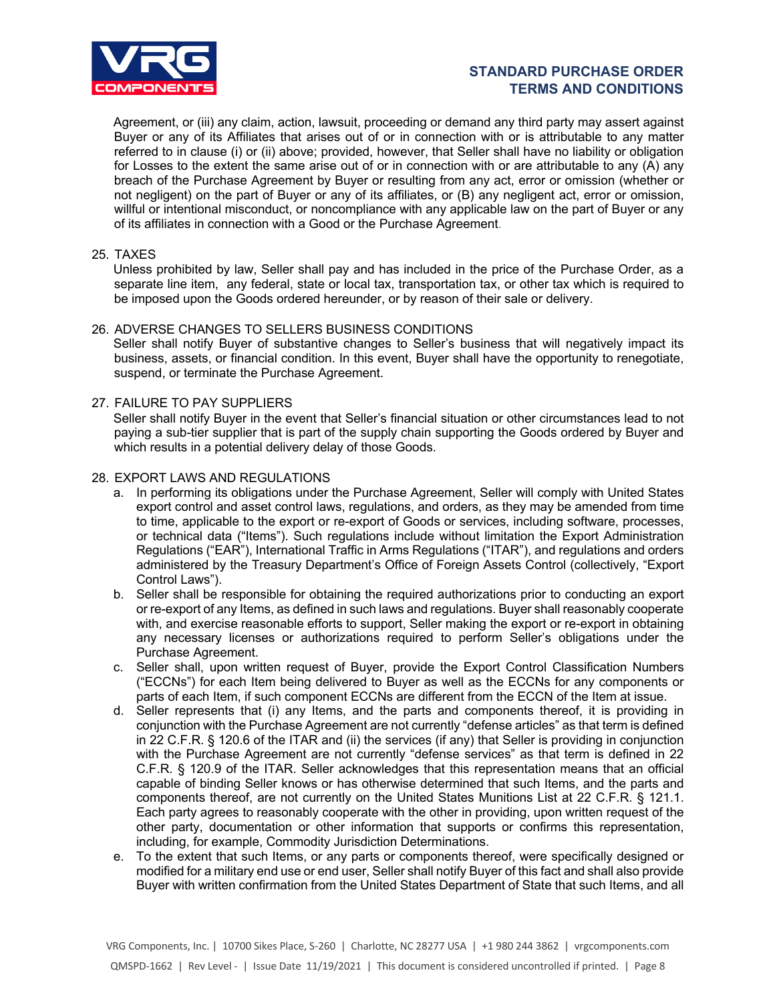

Agreement, or (iii) any claim, action, lawsuit, proceeding or demand any third party may assert against Buyer or any of its Affiliates that arises out of or in connection with or is attributable to any matter referred to in clause (i) or (ii) above; provided, however, that Seller shall have no liability or obligation for Losses to the extent the same arise out of or in connection with or are attributable to any  $(A)$  any breach of the Purchase Agreement by Buyer or resulting from any act, error or omission (whether or not negligent) on the part of Buyer or any of its affiliates, or (B) any negligent act, error or omission, willful or intentional misconduct, or noncompliance with any applicable law on the part of Buyer or any of its affiliates in connection with a Good or the Purchase Agreement.

### 25. TAXES

Unless prohibited by law, Seller shall pay and has included in the price of the Purchase Order, as a separate line item, any federal, state or local tax, transportation tax, or other tax which is required to be imposed upon the Goods ordered hereunder, or by reason of their sale or delivery.

## 26. ADVERSE CHANGES TO SELLERS BUSINESS CONDITIONS

Seller shall notify Buyer of substantive changes to Seller's business that will negatively impact its business, assets, or financial condition. In this event, Buyer shall have the opportunity to renegotiate, suspend, or terminate the Purchase Agreement.

## 27. FAILURE TO PAY SUPPLIERS

Seller shall notify Buyer in the event that Seller's financial situation or other circumstances lead to not paying a sub-tier supplier that is part of the supply chain supporting the Goods ordered by Buyer and which results in a potential delivery delay of those Goods.

### 28. EXPORT LAWS AND REGULATIONS

- a. In performing its obligations under the Purchase Agreement, Seller will comply with United States export control and asset control laws, regulations, and orders, as they may be amended from time to time, applicable to the export or re-export of Goods or services, including software, processes, or technical data ("Items"). Such regulations include without limitation the Export Administration Regulations ("EAR"), International Traffic in Arms Regulations ("ITAR"), and regulations and orders administered by the Treasury Department's Office of Foreign Assets Control (collectively, "Export Control Laws").
- b. Seller shall be responsible for obtaining the required authorizations prior to conducting an export or re-export of any Items, as defined in such laws and regulations. Buyer shall reasonably cooperate with, and exercise reasonable efforts to support, Seller making the export or re-export in obtaining any necessary licenses or authorizations required to perform Seller's obligations under the Purchase Agreement.
- c. Seller shall, upon written request of Buyer, provide the Export Control Classification Numbers ("ECCNs") for each Item being delivered to Buyer as well as the ECCNs for any components or parts of each Item, if such component ECCNs are different from the ECCN of the Item at issue.
- d. Seller represents that (i) any Items, and the parts and components thereof, it is providing in conjunction with the Purchase Agreement are not currently "defense articles" as that term is defined in 22 C.F.R. § 120.6 of the ITAR and (ii) the services (if any) that Seller is providing in conjunction with the Purchase Agreement are not currently "defense services" as that term is defined in 22 C.F.R. § 120.9 of the ITAR. Seller acknowledges that this representation means that an official capable of binding Seller knows or has otherwise determined that such Items, and the parts and components thereof, are not currently on the United States Munitions List at 22 C.F.R. § 121.1. Each party agrees to reasonably cooperate with the other in providing, upon written request of the other party, documentation or other information that supports or confirms this representation, including, for example, Commodity Jurisdiction Determinations.
- e. To the extent that such Items, or any parts or components thereof, were specifically designed or modified for a military end use or end user, Seller shall notify Buyer of this fact and shall also provide Buyer with written confirmation from the United States Department of State that such Items, and all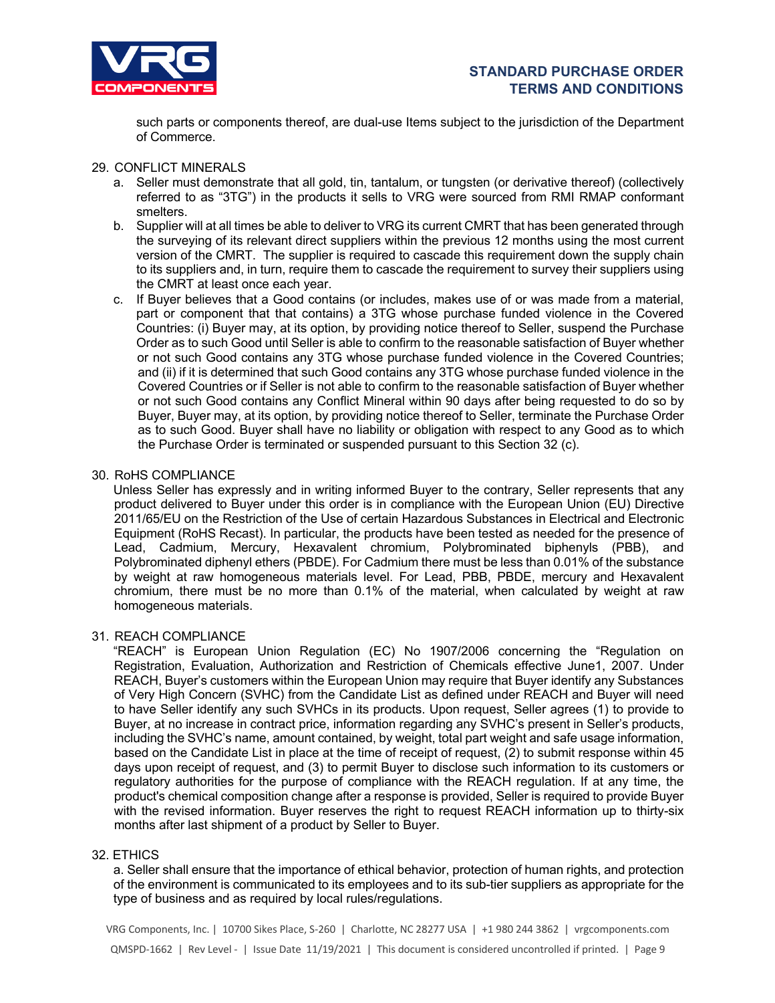

such parts or components thereof, are dual-use Items subject to the jurisdiction of the Department of Commerce.

### 29. CONFLICT MINERALS

- a. Seller must demonstrate that all gold, tin, tantalum, or tungsten (or derivative thereof) (collectively referred to as "3TG") in the products it sells to VRG were sourced from RMI RMAP conformant smelters.
- b. Supplier will at all times be able to deliver to VRG its current CMRT that has been generated through the surveying of its relevant direct suppliers within the previous 12 months using the most current version of the CMRT. The supplier is required to cascade this requirement down the supply chain to its suppliers and, in turn, require them to cascade the requirement to survey their suppliers using the CMRT at least once each year.
- c. If Buyer believes that a Good contains (or includes, makes use of or was made from a material, part or component that that contains) a 3TG whose purchase funded violence in the Covered Countries: (i) Buyer may, at its option, by providing notice thereof to Seller, suspend the Purchase Order as to such Good until Seller is able to confirm to the reasonable satisfaction of Buyer whether or not such Good contains any 3TG whose purchase funded violence in the Covered Countries; and (ii) if it is determined that such Good contains any 3TG whose purchase funded violence in the Covered Countries or if Seller is not able to confirm to the reasonable satisfaction of Buyer whether or not such Good contains any Conflict Mineral within 90 days after being requested to do so by Buyer, Buyer may, at its option, by providing notice thereof to Seller, terminate the Purchase Order as to such Good. Buyer shall have no liability or obligation with respect to any Good as to which the Purchase Order is terminated or suspended pursuant to this Section 32 (c).

#### 30. RoHS COMPLIANCE

Unless Seller has expressly and in writing informed Buyer to the contrary, Seller represents that any product delivered to Buyer under this order is in compliance with the European Union (EU) Directive 2011/65/EU on the Restriction of the Use of certain Hazardous Substances in Electrical and Electronic Equipment (RoHS Recast). In particular, the products have been tested as needed for the presence of Lead, Cadmium, Mercury, Hexavalent chromium, Polybrominated biphenyls (PBB), and Polybrominated diphenyl ethers (PBDE). For Cadmium there must be less than 0.01% of the substance by weight at raw homogeneous materials level. For Lead, PBB, PBDE, mercury and Hexavalent chromium, there must be no more than 0.1% of the material, when calculated by weight at raw homogeneous materials.

### 31. REACH COMPLIANCE

"REACH" is European Union Regulation (EC) No 1907/2006 concerning the "Regulation on Registration, Evaluation, Authorization and Restriction of Chemicals effective June1, 2007. Under REACH, Buyer's customers within the European Union may require that Buyer identify any Substances of Very High Concern (SVHC) from the Candidate List as defined under REACH and Buyer will need to have Seller identify any such SVHCs in its products. Upon request, Seller agrees (1) to provide to Buyer, at no increase in contract price, information regarding any SVHC's present in Seller's products, including the SVHC's name, amount contained, by weight, total part weight and safe usage information, based on the Candidate List in place at the time of receipt of request, (2) to submit response within 45 days upon receipt of request, and (3) to permit Buyer to disclose such information to its customers or regulatory authorities for the purpose of compliance with the REACH regulation. If at any time, the product's chemical composition change after a response is provided, Seller is required to provide Buyer with the revised information. Buyer reserves the right to request REACH information up to thirty-six months after last shipment of a product by Seller to Buyer.

#### 32. ETHICS

a. Seller shall ensure that the importance of ethical behavior, protection of human rights, and protection of the environment is communicated to its employees and to its sub-tier suppliers as appropriate for the type of business and as required by local rules/regulations.

VRG Components, Inc. | 10700 Sikes Place, S-260 | Charlotte, NC 28277 USA | +1 980 244 3862 | vrgcomponents.com QMSPD-1662 | Rev Level - | Issue Date 11/19/2021 | This document is considered uncontrolled if printed. | Page 9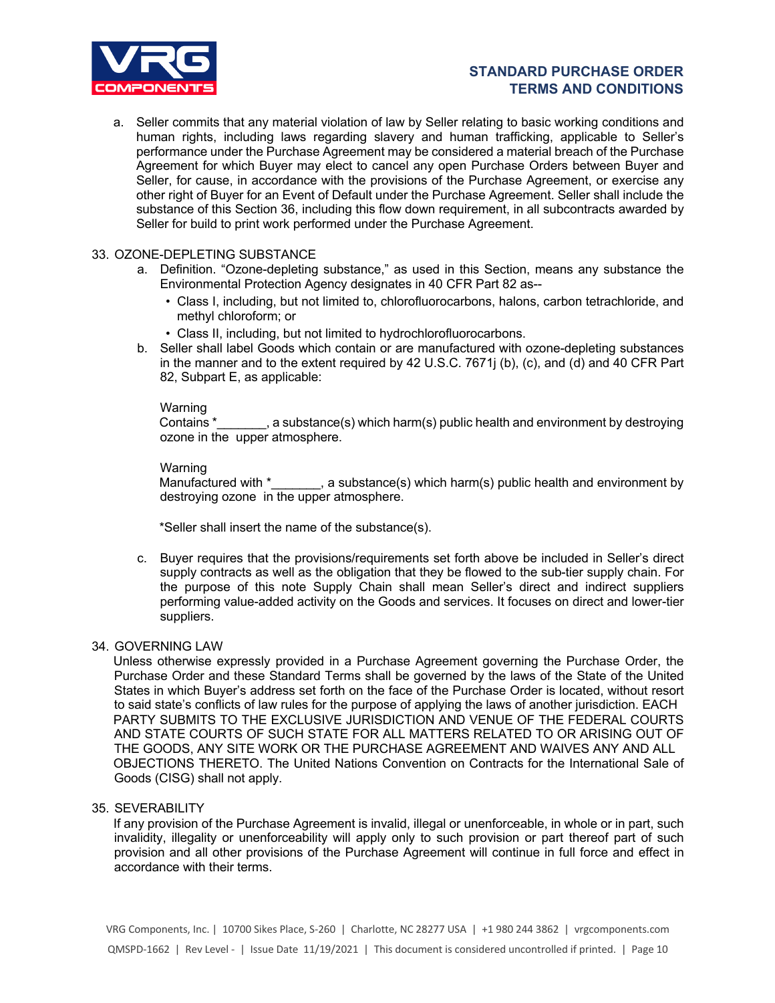

a. Seller commits that any material violation of law by Seller relating to basic working conditions and human rights, including laws regarding slavery and human trafficking, applicable to Seller's performance under the Purchase Agreement may be considered a material breach of the Purchase Agreement for which Buyer may elect to cancel any open Purchase Orders between Buyer and Seller, for cause, in accordance with the provisions of the Purchase Agreement, or exercise any other right of Buyer for an Event of Default under the Purchase Agreement. Seller shall include the substance of this Section 36, including this flow down requirement, in all subcontracts awarded by Seller for build to print work performed under the Purchase Agreement.

### 33. OZONE-DEPLETING SUBSTANCE

- a. Definition. "Ozone-depleting substance," as used in this Section, means any substance the Environmental Protection Agency designates in 40 CFR Part 82 as--
	- Class I, including, but not limited to, chlorofluorocarbons, halons, carbon tetrachloride, and methyl chloroform; or
	- Class II, including, but not limited to hydrochlorofluorocarbons.
- b. Seller shall label Goods which contain or are manufactured with ozone-depleting substances in the manner and to the extent required by 42 U.S.C. 7671j (b), (c), and (d) and 40 CFR Part 82, Subpart E, as applicable:

#### Warning

Contains \*\_\_\_\_\_\_\_, a substance(s) which harm(s) public health and environment by destroying ozone in the upper atmosphere.

#### Warning

Manufactured with  $*$ , a substance(s) which harm(s) public health and environment by destroying ozone in the upper atmosphere.

\*Seller shall insert the name of the substance(s).

c. Buyer requires that the provisions/requirements set forth above be included in Seller's direct supply contracts as well as the obligation that they be flowed to the sub-tier supply chain. For the purpose of this note Supply Chain shall mean Seller's direct and indirect suppliers performing value-added activity on the Goods and services. It focuses on direct and lower-tier suppliers.

### 34. GOVERNING LAW

Unless otherwise expressly provided in a Purchase Agreement governing the Purchase Order, the Purchase Order and these Standard Terms shall be governed by the laws of the State of the United States in which Buyer's address set forth on the face of the Purchase Order is located, without resort to said state's conflicts of law rules for the purpose of applying the laws of another jurisdiction. EACH PARTY SUBMITS TO THE EXCLUSIVE JURISDICTION AND VENUE OF THE FEDERAL COURTS AND STATE COURTS OF SUCH STATE FOR ALL MATTERS RELATED TO OR ARISING OUT OF THE GOODS, ANY SITE WORK OR THE PURCHASE AGREEMENT AND WAIVES ANY AND ALL OBJECTIONS THERETO. The United Nations Convention on Contracts for the International Sale of Goods (CISG) shall not apply.

35. SEVERABILITY

If any provision of the Purchase Agreement is invalid, illegal or unenforceable, in whole or in part, such invalidity, illegality or unenforceability will apply only to such provision or part thereof part of such provision and all other provisions of the Purchase Agreement will continue in full force and effect in accordance with their terms.